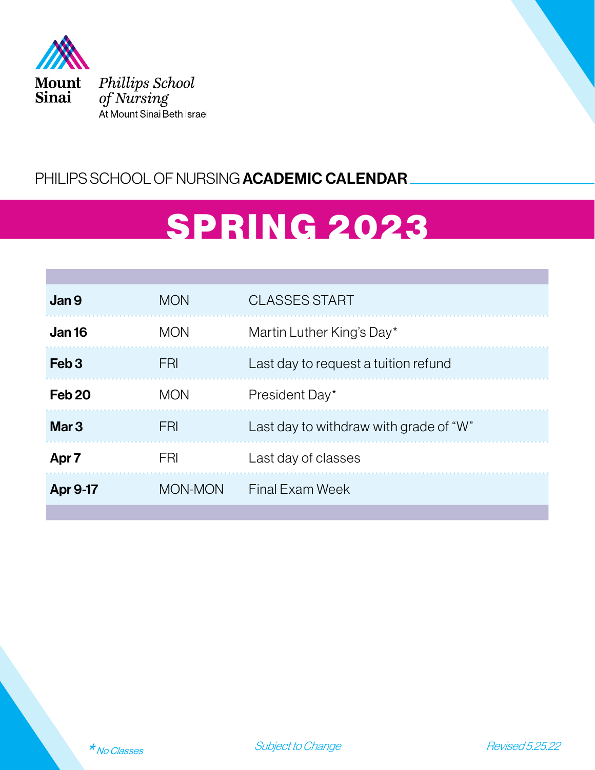

### PHILIPS SCHOOL OF NURSING ACADEMIC CALENDAR

# SPRING 2023

| Jan 9             | <b>MON</b>     | <b>CLASSES START</b>                   |
|-------------------|----------------|----------------------------------------|
| <b>Jan 16</b>     | <b>MON</b>     | Martin Luther King's Day*              |
| Feb <sub>3</sub>  | FRI            | Last day to request a tuition refund   |
| Feb <sub>20</sub> | <b>MON</b>     | President Day*                         |
| Mar <sub>3</sub>  | <b>FRI</b>     | Last day to withdraw with grade of "W" |
| Apr <sub>7</sub>  | FRI            | Last day of classes                    |
| <b>Apr</b> 9-17   | <b>MON-MON</b> | Final Fxam Week                        |
|                   |                |                                        |

Subject to Change **Revised 5.25.22** 

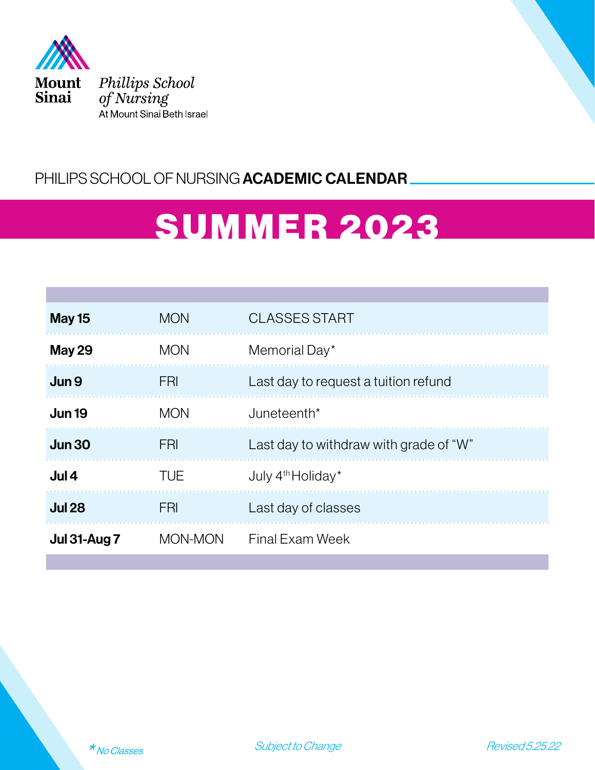

### PHILIPS SCHOOL OF NURSING ACADEMIC CALENDAR

# SUMMER 2023

| <b>May 15</b>       | <b>MON</b> | <b>CLASSES START</b>                   |
|---------------------|------------|----------------------------------------|
| <b>May 29</b>       | <b>MON</b> | Memorial Day*                          |
| Jun 9               | <b>FRI</b> | Last day to request a tuition refund   |
| <b>Jun 19</b>       | <b>MON</b> | Juneteenth*                            |
| <b>Jun 30</b>       | <b>FRI</b> | Last day to withdraw with grade of "W" |
| Jul 4               | TUE        | July 4 <sup>th</sup> Holiday*          |
| <b>Jul 28</b>       | FRI        | Last day of classes                    |
| <b>Jul 31-Aug 7</b> | MON-MON    | <b>Final Exam Week</b>                 |



Subject to Change **Revised 5.25.22**